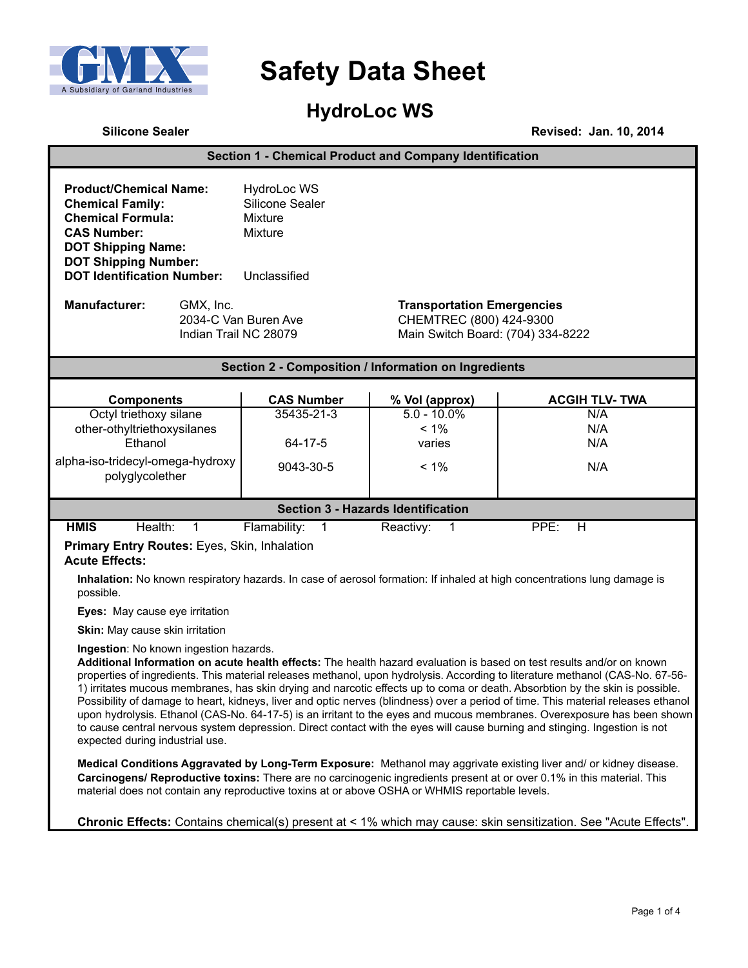

# **Safety Data Sheet**

# **HydroLoc WS**

| <b>Silicone Sealer</b>                                                                                                                                                                                                                                                                                                                                                                                                                                                                                                                                                                                                                                                                                                                                                                                                                                                                                                                                                                  |  |                                                                                                                           |                                                | Revised: Jan. 10, 2014          |  |  |
|-----------------------------------------------------------------------------------------------------------------------------------------------------------------------------------------------------------------------------------------------------------------------------------------------------------------------------------------------------------------------------------------------------------------------------------------------------------------------------------------------------------------------------------------------------------------------------------------------------------------------------------------------------------------------------------------------------------------------------------------------------------------------------------------------------------------------------------------------------------------------------------------------------------------------------------------------------------------------------------------|--|---------------------------------------------------------------------------------------------------------------------------|------------------------------------------------|---------------------------------|--|--|
| Section 1 - Chemical Product and Company Identification                                                                                                                                                                                                                                                                                                                                                                                                                                                                                                                                                                                                                                                                                                                                                                                                                                                                                                                                 |  |                                                                                                                           |                                                |                                 |  |  |
| <b>Product/Chemical Name:</b><br><b>Chemical Family:</b><br><b>Chemical Formula:</b><br><b>CAS Number:</b><br><b>DOT Shipping Name:</b><br><b>DOT Shipping Number:</b><br><b>DOT Identification Number:</b><br><b>Manufacturer:</b><br>GMX, Inc.<br>Indian Trail NC 28079                                                                                                                                                                                                                                                                                                                                                                                                                                                                                                                                                                                                                                                                                                               |  | HydroLoc WS<br>Silicone Sealer<br>Mixture<br><b>Mixture</b>                                                               |                                                |                                 |  |  |
|                                                                                                                                                                                                                                                                                                                                                                                                                                                                                                                                                                                                                                                                                                                                                                                                                                                                                                                                                                                         |  | Unclassified                                                                                                              |                                                |                                 |  |  |
|                                                                                                                                                                                                                                                                                                                                                                                                                                                                                                                                                                                                                                                                                                                                                                                                                                                                                                                                                                                         |  | <b>Transportation Emergencies</b><br>CHEMTREC (800) 424-9300<br>2034-C Van Buren Ave<br>Main Switch Board: (704) 334-8222 |                                                |                                 |  |  |
| Section 2 - Composition / Information on Ingredients                                                                                                                                                                                                                                                                                                                                                                                                                                                                                                                                                                                                                                                                                                                                                                                                                                                                                                                                    |  |                                                                                                                           |                                                |                                 |  |  |
| <b>Components</b>                                                                                                                                                                                                                                                                                                                                                                                                                                                                                                                                                                                                                                                                                                                                                                                                                                                                                                                                                                       |  | <b>CAS Number</b>                                                                                                         | % Vol (approx)                                 | <b>ACGIH TLV-TWA</b>            |  |  |
| Octyl triethoxy silane<br>other-othyltriethoxysilanes<br>Ethanol<br>alpha-iso-tridecyl-omega-hydroxy<br>polyglycolether                                                                                                                                                                                                                                                                                                                                                                                                                                                                                                                                                                                                                                                                                                                                                                                                                                                                 |  | 35435-21-3<br>64-17-5<br>9043-30-5                                                                                        | $5.0 - 10.0\%$<br>$< 1\%$<br>varies<br>$< 1\%$ | N/A<br>N/A<br>N/A<br>N/A        |  |  |
|                                                                                                                                                                                                                                                                                                                                                                                                                                                                                                                                                                                                                                                                                                                                                                                                                                                                                                                                                                                         |  |                                                                                                                           | <b>Section 3 - Hazards Identification</b>      |                                 |  |  |
| <b>HMIS</b><br>Health:<br>$\mathbf{1}$                                                                                                                                                                                                                                                                                                                                                                                                                                                                                                                                                                                                                                                                                                                                                                                                                                                                                                                                                  |  | Flamability:<br>$\overline{\mathbf{1}}$                                                                                   | Reactivy:<br>$\mathbf{1}$                      | PPE:<br>$\overline{\mathsf{H}}$ |  |  |
| Primary Entry Routes: Eyes, Skin, Inhalation<br><b>Acute Effects:</b>                                                                                                                                                                                                                                                                                                                                                                                                                                                                                                                                                                                                                                                                                                                                                                                                                                                                                                                   |  |                                                                                                                           |                                                |                                 |  |  |
| Inhalation: No known respiratory hazards. In case of aerosol formation: If inhaled at high concentrations lung damage is<br>possible.                                                                                                                                                                                                                                                                                                                                                                                                                                                                                                                                                                                                                                                                                                                                                                                                                                                   |  |                                                                                                                           |                                                |                                 |  |  |
| Eyes: May cause eye irritation                                                                                                                                                                                                                                                                                                                                                                                                                                                                                                                                                                                                                                                                                                                                                                                                                                                                                                                                                          |  |                                                                                                                           |                                                |                                 |  |  |
| Skin: May cause skin irritation                                                                                                                                                                                                                                                                                                                                                                                                                                                                                                                                                                                                                                                                                                                                                                                                                                                                                                                                                         |  |                                                                                                                           |                                                |                                 |  |  |
| Ingestion: No known ingestion hazards.<br>Additional Information on acute health effects: The health hazard evaluation is based on test results and/or on known<br>properties of ingredients. This material releases methanol, upon hydrolysis. According to literature methanol (CAS-No. 67-56-<br>1) irritates mucous membranes, has skin drying and narcotic effects up to coma or death. Absorbtion by the skin is possible.<br>Possibility of damage to heart, kidneys, liver and optic nerves (blindness) over a period of time. This material releases ethanol<br>upon hydrolysis. Ethanol (CAS-No. 64-17-5) is an irritant to the eyes and mucous membranes. Overexposure has been shown<br>to cause central nervous system depression. Direct contact with the eyes will cause burning and stinging. Ingestion is not<br>expected during industrial use.<br>Medical Conditions Aggravated by Long-Term Exposure: Methanol may aggrivate existing liver and/ or kidney disease. |  |                                                                                                                           |                                                |                                 |  |  |
| Carcinogens/ Reproductive toxins: There are no carcinogenic ingredients present at or over 0.1% in this material. This<br>material does not contain any reproductive toxins at or above OSHA or WHMIS reportable levels.                                                                                                                                                                                                                                                                                                                                                                                                                                                                                                                                                                                                                                                                                                                                                                |  |                                                                                                                           |                                                |                                 |  |  |
| Chronic Effects: Contains chemical(s) present at < 1% which may cause: skin sensitization. See "Acute Effects".                                                                                                                                                                                                                                                                                                                                                                                                                                                                                                                                                                                                                                                                                                                                                                                                                                                                         |  |                                                                                                                           |                                                |                                 |  |  |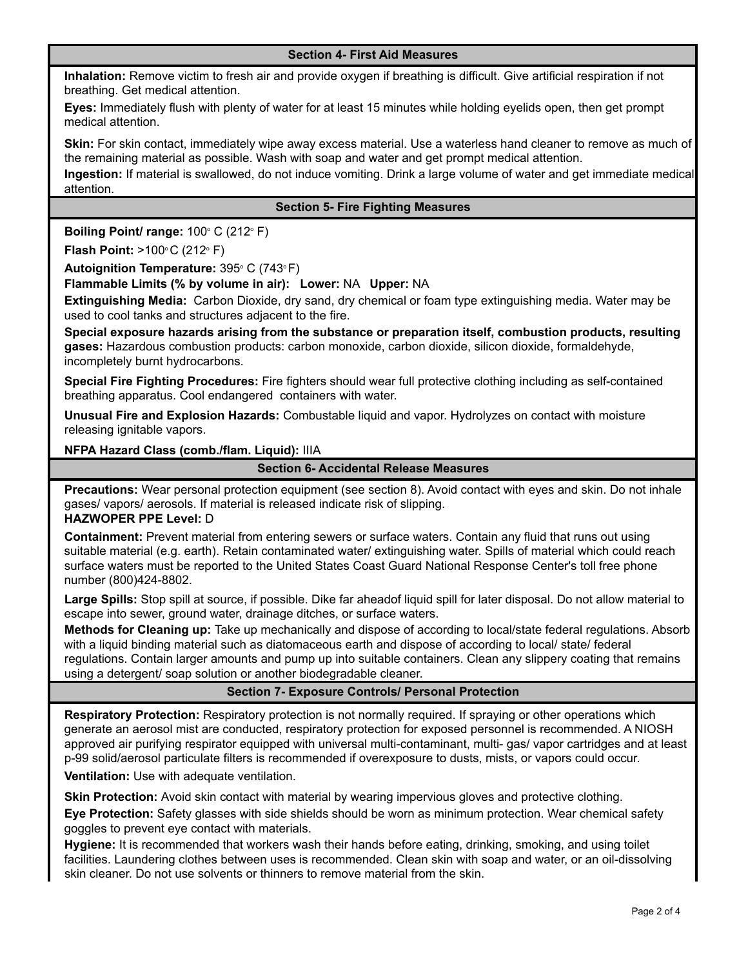# **Section 4- First Aid Measures**

**Inhalation:** Remove victim to fresh air and provide oxygen if breathing is difficult. Give artificial respiration if not breathing. Get medical attention.

**Eyes:** Immediately flush with plenty of water for at least 15 minutes while holding eyelids open, then get prompt medical attention.

**Skin:** For skin contact, immediately wipe away excess material. Use a waterless hand cleaner to remove as much of the remaining material as possible. Wash with soap and water and get prompt medical attention.

**Ingestion:** If material is swallowed, do not induce vomiting. Drink a large volume of water and get immediate medical attention.

# **Section 5- Fire Fighting Measures**

Boiling Point/ range: 100° C (212° F)

**Flash Point:**  $>100^{\circ}$ C (212 $^{\circ}$  F)

**Autoignition Temperature:** 395° C (743°F)

**Flammable Limits (% by volume in air): Lower:** NA **Upper:** NA

**Extinguishing Media:** Carbon Dioxide, dry sand, dry chemical or foam type extinguishing media. Water may be used to cool tanks and structures adjacent to the fire.

**Special exposure hazards arising from the substance or preparation itself, combustion products, resulting gases:** Hazardous combustion products: carbon monoxide, carbon dioxide, silicon dioxide, formaldehyde, incompletely burnt hydrocarbons.

**Special Fire Fighting Procedures:** Fire fighters should wear full protective clothing including as self-contained breathing apparatus. Cool endangered containers with water.

**Unusual Fire and Explosion Hazards:** Combustable liquid and vapor. Hydrolyzes on contact with moisture releasing ignitable vapors.

**NFPA Hazard Class (comb./flam. Liquid):** IIIA

**Section 6- Accidental Release Measures**

**Precautions:** Wear personal protection equipment (see section 8). Avoid contact with eyes and skin. Do not inhale gases/ vapors/ aerosols. If material is released indicate risk of slipping. **HAZWOPER PPE Level:** D

**Containment:** Prevent material from entering sewers or surface waters. Contain any fluid that runs out using suitable material (e.g. earth). Retain contaminated water/ extinguishing water. Spills of material which could reach surface waters must be reported to the United States Coast Guard National Response Center's toll free phone number (800)424-8802.

**Large Spills:** Stop spill at source, if possible. Dike far aheadof liquid spill for later disposal. Do not allow material to escape into sewer, ground water, drainage ditches, or surface waters.

**Methods for Cleaning up:** Take up mechanically and dispose of according to local/state federal regulations. Absorb with a liquid binding material such as diatomaceous earth and dispose of according to local/ state/ federal regulations. Contain larger amounts and pump up into suitable containers. Clean any slippery coating that remains using a detergent/ soap solution or another biodegradable cleaner.

#### **Section 7- Exposure Controls/ Personal Protection**

**Respiratory Protection:** Respiratory protection is not normally required. If spraying or other operations which generate an aerosol mist are conducted, respiratory protection for exposed personnel is recommended. A NIOSH approved air purifying respirator equipped with universal multi-contaminant, multi- gas/ vapor cartridges and at least p-99 solid/aerosol particulate filters is recommended if overexposure to dusts, mists, or vapors could occur.

**Ventilation:** Use with adequate ventilation.

**Skin Protection:** Avoid skin contact with material by wearing impervious gloves and protective clothing.

**Eye Protection:** Safety glasses with side shields should be worn as minimum protection. Wear chemical safety goggles to prevent eye contact with materials.

**Hygiene:** It is recommended that workers wash their hands before eating, drinking, smoking, and using toilet facilities. Laundering clothes between uses is recommended. Clean skin with soap and water, or an oil-dissolving skin cleaner. Do not use solvents or thinners to remove material from the skin.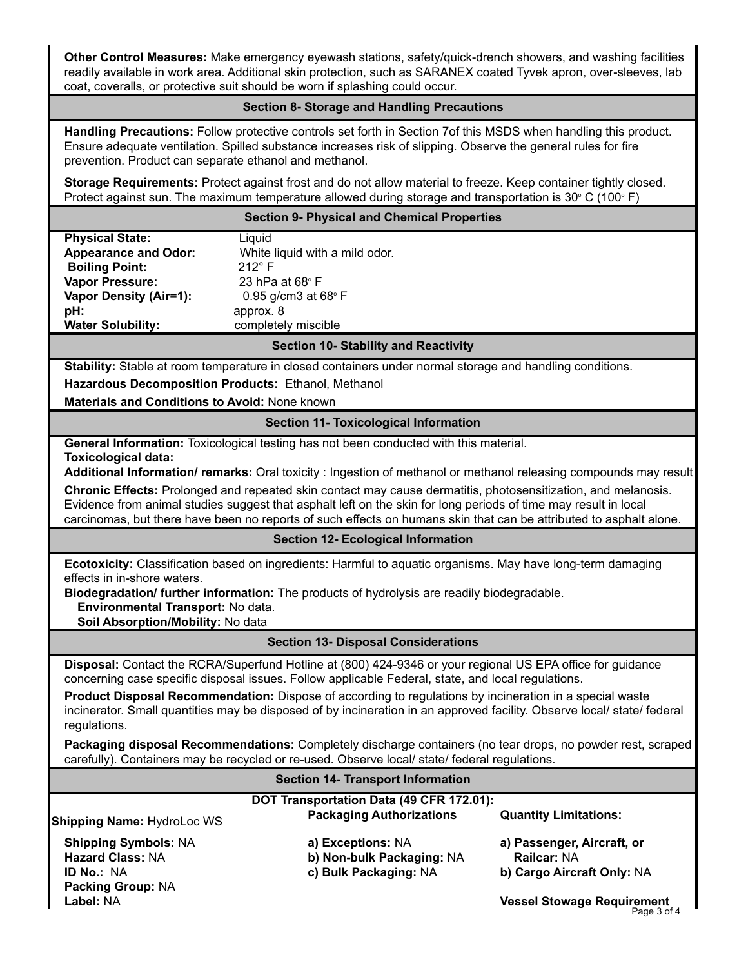**Other Control Measures:** Make emergency eyewash stations, safety/quick-drench showers, and washing facilities readily available in work area. Additional skin protection, such as SARANEX coated Tyvek apron, over-sleeves, lab coat, coveralls, or protective suit should be worn if splashing could occur.

# **Section 8- Storage and Handling Precautions**

**Handling Precautions:** Follow protective controls set forth in Section 7of this MSDS when handling this product. Ensure adequate ventilation. Spilled substance increases risk of slipping. Observe the general rules for fire prevention. Product can separate ethanol and methanol.

**Storage Requirements:** Protect against frost and do not allow material to freeze. Keep container tightly closed. Protect against sun. The maximum temperature allowed during storage and transportation is 30° C (100° F)

| <b>Section 9- Physical and Chemical Properties</b>                                                                                                                                                                                    |                                                                    |                                                  |  |  |  |  |
|---------------------------------------------------------------------------------------------------------------------------------------------------------------------------------------------------------------------------------------|--------------------------------------------------------------------|--------------------------------------------------|--|--|--|--|
| <b>Physical State:</b>                                                                                                                                                                                                                | Liquid                                                             |                                                  |  |  |  |  |
| <b>Appearance and Odor:</b>                                                                                                                                                                                                           | White liquid with a mild odor.                                     |                                                  |  |  |  |  |
| <b>Boiling Point:</b>                                                                                                                                                                                                                 | $212^{\circ}$ F                                                    |                                                  |  |  |  |  |
| <b>Vapor Pressure:</b>                                                                                                                                                                                                                | 23 hPa at 68° F                                                    |                                                  |  |  |  |  |
| <b>Vapor Density (Air=1):</b>                                                                                                                                                                                                         | 0.95 g/cm3 at 68° F                                                |                                                  |  |  |  |  |
| pH:                                                                                                                                                                                                                                   | approx. 8                                                          |                                                  |  |  |  |  |
| <b>Water Solubility:</b>                                                                                                                                                                                                              | completely miscible<br><b>Section 10- Stability and Reactivity</b> |                                                  |  |  |  |  |
|                                                                                                                                                                                                                                       |                                                                    |                                                  |  |  |  |  |
| Stability: Stable at room temperature in closed containers under normal storage and handling conditions.                                                                                                                              |                                                                    |                                                  |  |  |  |  |
| Hazardous Decomposition Products: Ethanol, Methanol                                                                                                                                                                                   |                                                                    |                                                  |  |  |  |  |
| <b>Materials and Conditions to Avoid: None known</b>                                                                                                                                                                                  |                                                                    |                                                  |  |  |  |  |
| <b>Section 11- Toxicological Information</b>                                                                                                                                                                                          |                                                                    |                                                  |  |  |  |  |
| General Information: Toxicological testing has not been conducted with this material.<br><b>Toxicological data:</b>                                                                                                                   |                                                                    |                                                  |  |  |  |  |
| Additional Information/ remarks: Oral toxicity : Ingestion of methanol or methanol releasing compounds may result                                                                                                                     |                                                                    |                                                  |  |  |  |  |
| Chronic Effects: Prolonged and repeated skin contact may cause dermatitis, photosensitization, and melanosis.                                                                                                                         |                                                                    |                                                  |  |  |  |  |
| Evidence from animal studies suggest that asphalt left on the skin for long periods of time may result in local<br>carcinomas, but there have been no reports of such effects on humans skin that can be attributed to asphalt alone. |                                                                    |                                                  |  |  |  |  |
|                                                                                                                                                                                                                                       |                                                                    |                                                  |  |  |  |  |
| <b>Section 12- Ecological Information</b>                                                                                                                                                                                             |                                                                    |                                                  |  |  |  |  |
| Ecotoxicity: Classification based on ingredients: Harmful to aquatic organisms. May have long-term damaging                                                                                                                           |                                                                    |                                                  |  |  |  |  |
| effects in in-shore waters.                                                                                                                                                                                                           |                                                                    |                                                  |  |  |  |  |
| Biodegradation/ further information: The products of hydrolysis are readily biodegradable.                                                                                                                                            |                                                                    |                                                  |  |  |  |  |
| Environmental Transport: No data.                                                                                                                                                                                                     |                                                                    |                                                  |  |  |  |  |
| Soil Absorption/Mobility: No data                                                                                                                                                                                                     |                                                                    |                                                  |  |  |  |  |
|                                                                                                                                                                                                                                       | <b>Section 13- Disposal Considerations</b>                         |                                                  |  |  |  |  |
| Disposal: Contact the RCRA/Superfund Hotline at (800) 424-9346 or your regional US EPA office for guidance                                                                                                                            |                                                                    |                                                  |  |  |  |  |
| concerning case specific disposal issues. Follow applicable Federal, state, and local regulations.                                                                                                                                    |                                                                    |                                                  |  |  |  |  |
| Product Disposal Recommendation: Dispose of according to regulations by incineration in a special waste                                                                                                                               |                                                                    |                                                  |  |  |  |  |
| incinerator. Small quantities may be disposed of by incineration in an approved facility. Observe local/ state/ federal<br>regulations.                                                                                               |                                                                    |                                                  |  |  |  |  |
|                                                                                                                                                                                                                                       |                                                                    |                                                  |  |  |  |  |
| Packaging disposal Recommendations: Completely discharge containers (no tear drops, no powder rest, scraped<br>carefully). Containers may be recycled or re-used. Observe local/ state/ federal regulations.                          |                                                                    |                                                  |  |  |  |  |
| <b>Section 14- Transport Information</b>                                                                                                                                                                                              |                                                                    |                                                  |  |  |  |  |
|                                                                                                                                                                                                                                       | DOT Transportation Data (49 CFR 172.01):                           |                                                  |  |  |  |  |
| <b>Shipping Name: HydroLoc WS</b>                                                                                                                                                                                                     | <b>Packaging Authorizations</b>                                    | <b>Quantity Limitations:</b>                     |  |  |  |  |
| <b>Shipping Symbols: NA</b>                                                                                                                                                                                                           | a) Exceptions: NA                                                  | a) Passenger, Aircraft, or                       |  |  |  |  |
| <b>Hazard Class: NA</b>                                                                                                                                                                                                               | b) Non-bulk Packaging: NA                                          | Railcar: NA                                      |  |  |  |  |
| ID No.: NA                                                                                                                                                                                                                            | c) Bulk Packaging: NA                                              | b) Cargo Aircraft Only: NA                       |  |  |  |  |
| <b>Packing Group: NA</b>                                                                                                                                                                                                              |                                                                    |                                                  |  |  |  |  |
| Label: NA                                                                                                                                                                                                                             |                                                                    | <b>Vessel Stowage Requirement</b><br>Page 3 of 4 |  |  |  |  |